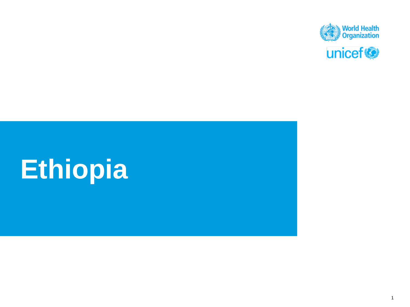

# **Ethiopia**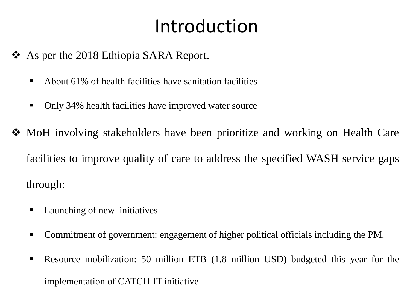## Introduction

- ❖ As per the 2018 Ethiopia SARA Report.
	- $\blacksquare$  About 61% of health facilities have sanitation facilities
	- Only 34% health facilities have improved water source
- ❖ MoH involving stakeholders have been prioritize and working on Health Care facilities to improve quality of care to address the specified WASH service gaps through:
	- Launching of new initiatives
	- Commitment of government: engagement of higher political officials including the PM.
	- Resource mobilization: 50 million ETB (1.8 million USD) budgeted this year for the implementation of CATCH-IT initiative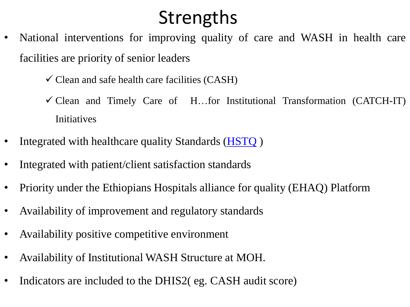## Strengths

- National interventions for improving quality of care and WASH in health care facilities are priority of senior leaders
	- $\checkmark$  Clean and safe health care facilities (CASH)
	- $\checkmark$  Clean and Timely Care of H...for Institutional Transformation (CATCH-IT) Initiatives
- Integrated with healthcare quality Standards [\(HSTQ](../Documents/HEALTH SECTOR TRANSFORMATION IN QUALITY (1) Standards.doc) )
- Integrated with patient/client satisfaction standards
- Priority under the Ethiopians Hospitals alliance for quality (EHAQ) Platform
- Availability of improvement and regulatory standards
- Availability positive competitive environment
- Availability of Institutional WASH Structure at MOH.
- Indicators are included to the DHIS2( eg. CASH audit score)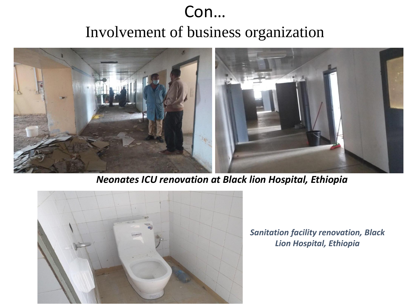### Con…

Involvement of business organization



#### *Neonates ICU renovation at Black lion Hospital, Ethiopia*



*Sanitation facility renovation, Black Lion Hospital, Ethiopia*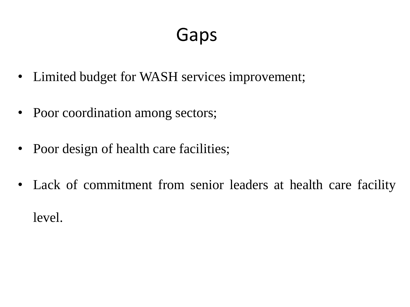## Gaps

- Limited budget for WASH services improvement;
- Poor coordination among sectors;
- Poor design of health care facilities;
- Lack of commitment from senior leaders at health care facility level.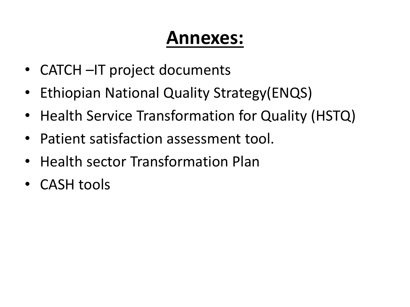## **Annexes:**

- CATCH –IT project documents
- Ethiopian National Quality Strategy(ENQS)
- Health Service Transformation for Quality (HSTQ)
- Patient satisfaction assessment tool.
- Health sector Transformation Plan
- CASH tools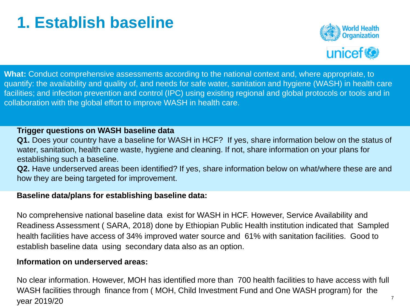## **1. Establish baseline**



What: Conduct comprehensive assessments according to the national context and, where appropriate, to quantify: the availability and quality of, and needs for safe water, sanitation and hygiene (WASH) in health care facilities; and infection prevention and control (IPC) using existing regional and global protocols or tools and in collaboration with the global effort to improve WASH in health care.

#### **Trigger questions on WASH baseline data**

**Q1.** Does your country have a baseline for WASH in HCF? If yes, share information below on the status of water, sanitation, health care waste, hygiene and cleaning. If not, share information on your plans for establishing such a baseline.

**Q2.** Have underserved areas been identified? If yes, share information below on what/where these are and how they are being targeted for improvement.

#### **Baseline data/plans for establishing baseline data:**

No comprehensive national baseline data exist for WASH in HCF. However, Service Availability and Readiness Assessment ( SARA, 2018) done by Ethiopian Public Health institution indicated that Sampled health facilities have access of 34% improved water source and 61% with sanitation facilities. Good to establish baseline data using secondary data also as an option.

#### **Information on underserved areas:**

7 No clear information. However, MOH has identified more than 700 health facilities to have access with full WASH facilities through finance from ( MOH, Child Investment Fund and One WASH program) for the year 2019/20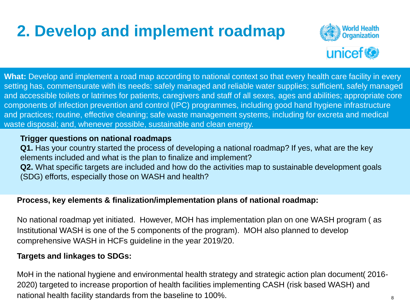## **2. Develop and implement roadmap**



**What:** Develop and implement a road map according to national context so that every health care facility in every setting has, commensurate with its needs: safely managed and reliable water supplies; sufficient, safely managed and accessible toilets or latrines for patients, caregivers and staff of all sexes*,* ages and abilities; appropriate core components of infection prevention and control (IPC) programmes, including good hand hygiene infrastructure and practices; routine, effective cleaning; safe waste management systems, including for excreta and medical waste disposal; and, whenever possible, sustainable and clean energy.

#### **Trigger questions on national roadmaps**

**Q1.** Has your country started the process of developing a national roadmap? If yes, what are the key elements included and what is the plan to finalize and implement? **Q2.** What specific targets are included and how do the activities map to sustainable development goals (SDG) efforts, especially those on WASH and health?

#### **Process, key elements & finalization/implementation plans of national roadmap:**

No national roadmap yet initiated. However, MOH has implementation plan on one WASH program ( as Institutional WASH is one of the 5 components of the program). MOH also planned to develop comprehensive WASH in HCFs guideline in the year 2019/20.

#### **Targets and linkages to SDGs:**

MoH in the national hygiene and environmental health strategy and strategic action plan document (2016-2020) targeted to increase proportion of health facilities implementing CASH (risk based WASH) and national health facility standards from the baseline to 100%.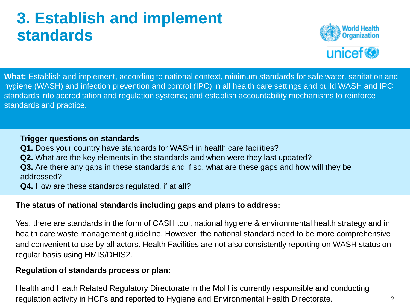### **3. Establish and implement standards**



**What:** Establish and implement, according to national context, minimum standards for safe water, sanitation and hygiene (WASH) and infection prevention and control (IPC) in all health care settings and build WASH and IPC standards into accreditation and regulation systems; and establish accountability mechanisms to reinforce standards and practice.

#### **Trigger questions on standards**

- **Q1.** Does your country have standards for WASH in health care facilities?
- **Q2.** What are the key elements in the standards and when were they last updated?
- **Q3.** Are there any gaps in these standards and if so, what are these gaps and how will they be addressed?
- **Q4.** How are these standards regulated, if at all?

#### **The status of national standards including gaps and plans to address:**

Yes, there are standards in the form of CASH tool, national hygiene & environmental health strategy and in health care waste management guideline. However, the national standard need to be more comprehensive and convenient to use by all actors. Health Facilities are not also consistently reporting on WASH status on regular basis using HMIS/DHIS2.

#### **Regulation of standards process or plan:**

Health and Heath Related Regulatory Directorate in the MoH is currently responsible and conducting regulation activity in HCFs and reported to Hygiene and Environmental Health Directorate.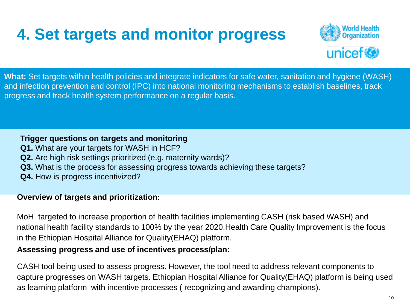## **4. Set targets and monitor progress**



**What:** Set targets within health policies and integrate indicators for safe water, sanitation and hygiene (WASH) and infection prevention and control (IPC) into national monitoring mechanisms to establish baselines, track progress and track health system performance on a regular basis.

**Trigger questions on targets and monitoring Q1.** What are your targets for WASH in HCF? **Q2.** Are high risk settings prioritized (e.g. maternity wards)? **Q3.** What is the process for assessing progress towards achieving these targets? **Q4.** How is progress incentivized?

#### **Overview of targets and prioritization:**

MoH targeted to increase proportion of health facilities implementing CASH (risk based WASH) and national health facility standards to 100% by the year 2020.Health Care Quality Improvement is the focus in the Ethiopian Hospital Alliance for Quality(EHAQ) platform.

#### **Assessing progress and use of incentives process/plan:**

CASH tool being used to assess progress. However, the tool need to address relevant components to capture progresses on WASH targets. Ethiopian Hospital Alliance for Quality(EHAQ) platform is being used as learning platform with incentive processes ( recognizing and awarding champions).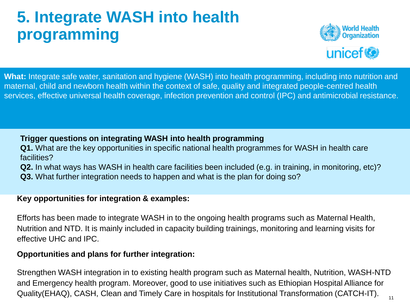## **5. Integrate WASH into health programming**



**What:** Integrate safe water, sanitation and hygiene (WASH) into health programming, including into nutrition and maternal, child and newborn health within the context of safe, quality and integrated people-centred health services, effective universal health coverage, infection prevention and control (IPC) and antimicrobial resistance.

#### **Trigger questions on integrating WASH into health programming**

- **Q1.** What are the key opportunities in specific national health programmes for WASH in health care facilities?
- **Q2.** In what ways has WASH in health care facilities been included (e.g. in training, in monitoring, etc)?
- **Q3.** What further integration needs to happen and what is the plan for doing so?

#### **Key opportunities for integration & examples:**

Efforts has been made to integrate WASH in to the ongoing health programs such as Maternal Health, Nutrition and NTD. It is mainly included in capacity building trainings, monitoring and learning visits for effective UHC and IPC.

#### **Opportunities and plans for further integration:**

Strengthen WASH integration in to existing health program such as Maternal health, Nutrition, WASH-NTD and Emergency health program. Moreover, good to use initiatives such as Ethiopian Hospital Alliance for Quality(EHAQ), CASH, Clean and Timely Care in hospitals for Institutional Transformation (CATCH-IT).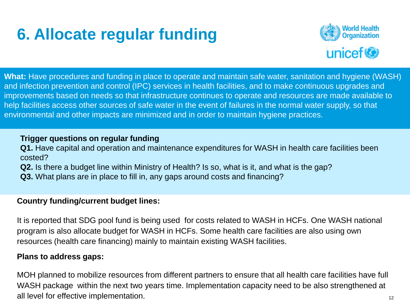## **6. Allocate regular funding**



**What:** Have procedures and funding in place to operate and maintain safe water, sanitation and hygiene (WASH) and infection prevention and control (IPC) services in health facilities, and to make continuous upgrades and improvements based on needs so that infrastructure continues to operate and resources are made available to help facilities access other sources of safe water in the event of failures in the normal water supply, so that environmental and other impacts are minimized and in order to maintain hygiene practices.

#### **Trigger questions on regular funding**

**Q1.** Have capital and operation and maintenance expenditures for WASH in health care facilities been costed?

**Q2.** Is there a budget line within Ministry of Health? Is so, what is it, and what is the gap?

**Q3.** What plans are in place to fill in, any gaps around costs and financing?

#### **Country funding/current budget lines:**

It is reported that SDG pool fund is being used for costs related to WASH in HCFs. One WASH national program is also allocate budget for WASH in HCFs. Some health care facilities are also using own resources (health care financing) mainly to maintain existing WASH facilities.

#### **Plans to address gaps:**

MOH planned to mobilize resources from different partners to ensure that all health care facilities have full WASH package within the next two years time. Implementation capacity need to be also strengthened at all level for effective implementation.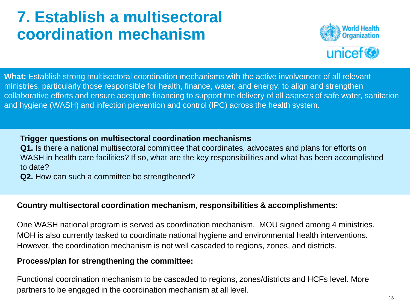### **7. Establish a multisectoral coordination mechanism**



**What:** Establish strong multisectoral coordination mechanisms with the active involvement of all relevant ministries, particularly those responsible for health, finance, water, and energy; to align and strengthen collaborative efforts and ensure adequate financing to support the delivery of all aspects of safe water, sanitation and hygiene (WASH) and infection prevention and control (IPC) across the health system.

#### **Trigger questions on multisectoral coordination mechanisms**

**Q1.** Is there a national multisectoral committee that coordinates, advocates and plans for efforts on WASH in health care facilities? If so, what are the key responsibilities and what has been accomplished to date?

**Q2.** How can such a committee be strengthened?

#### **Country multisectoral coordination mechanism, responsibilities & accomplishments:**

One WASH national program is served as coordination mechanism. MOU signed among 4 ministries. MOH is also currently tasked to coordinate national hygiene and environmental health interventions. However, the coordination mechanism is not well cascaded to regions, zones, and districts.

#### **Process/plan for strengthening the committee:**

Functional coordination mechanism to be cascaded to regions, zones/districts and HCFs level. More partners to be engaged in the coordination mechanism at all level.